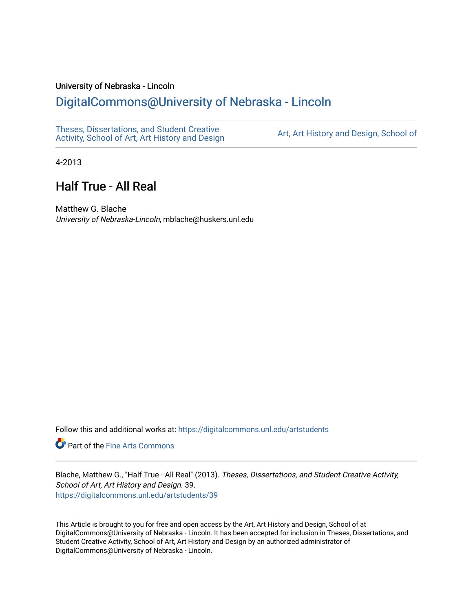#### University of Nebraska - Lincoln

## [DigitalCommons@University of Nebraska - Lincoln](https://digitalcommons.unl.edu/)

[Theses, Dissertations, and Student Creative](https://digitalcommons.unl.edu/artstudents)  [Activity, School of Art, Art History and Design](https://digitalcommons.unl.edu/artstudents) [Art, Art History and Design, School of](https://digitalcommons.unl.edu/art) 

4-2013

# Half True - All Real

Matthew G. Blache University of Nebraska-Lincoln, mblache@huskers.unl.edu

Follow this and additional works at: [https://digitalcommons.unl.edu/artstudents](https://digitalcommons.unl.edu/artstudents?utm_source=digitalcommons.unl.edu%2Fartstudents%2F39&utm_medium=PDF&utm_campaign=PDFCoverPages) 

**P** Part of the Fine Arts Commons

Blache, Matthew G., "Half True - All Real" (2013). Theses, Dissertations, and Student Creative Activity, School of Art, Art History and Design. 39. [https://digitalcommons.unl.edu/artstudents/39](https://digitalcommons.unl.edu/artstudents/39?utm_source=digitalcommons.unl.edu%2Fartstudents%2F39&utm_medium=PDF&utm_campaign=PDFCoverPages)

This Article is brought to you for free and open access by the Art, Art History and Design, School of at DigitalCommons@University of Nebraska - Lincoln. It has been accepted for inclusion in Theses, Dissertations, and Student Creative Activity, School of Art, Art History and Design by an authorized administrator of DigitalCommons@University of Nebraska - Lincoln.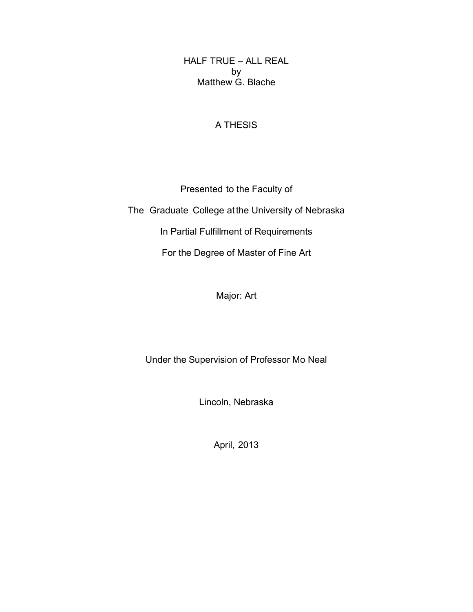HALF TRUE – ALL REAL by Matthew G. Blache

#### A THESIS

Presented to the Faculty of The Graduate College at the University of Nebraska In Partial Fulfillment of Requirements For the Degree of Master of Fine Art

### Major: Art

Under the Supervision of Professor Mo Neal

Lincoln, Nebraska

April, 2013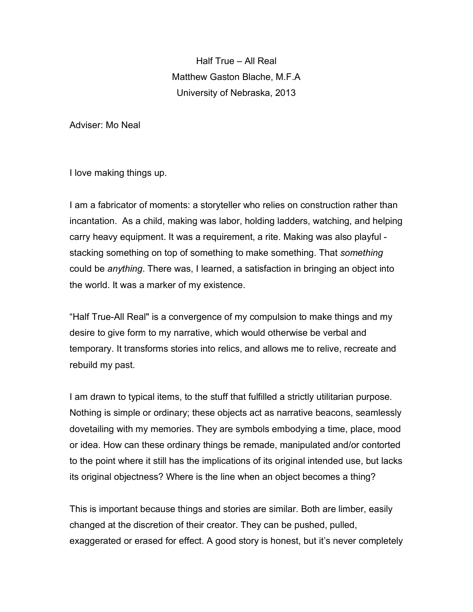Half True – All Real Matthew Gaston Blache, M.F.A University of Nebraska, 2013

Adviser: Mo Neal

I love making things up.

I am a fabricator of moments: a storyteller who relies on construction rather than incantation. As a child, making was labor, holding ladders, watching, and helping carry heavy equipment. It was a requirement, a rite. Making was also playful stacking something on top of something to make something. That *something* could be *anything*. There was, I learned, a satisfaction in bringing an object into the world. It was a marker of my existence.

"Half True-All Real" is a convergence of my compulsion to make things and my desire to give form to my narrative, which would otherwise be verbal and temporary. It transforms stories into relics, and allows me to relive, recreate and rebuild my past.

I am drawn to typical items, to the stuff that fulfilled a strictly utilitarian purpose. Nothing is simple or ordinary; these objects act as narrative beacons, seamlessly dovetailing with my memories. They are symbols embodying a time, place, mood or idea. How can these ordinary things be remade, manipulated and/or contorted to the point where it still has the implications of its original intended use, but lacks its original objectness? Where is the line when an object becomes a thing?

This is important because things and stories are similar. Both are limber, easily changed at the discretion of their creator. They can be pushed, pulled, exaggerated or erased for effect. A good story is honest, but it's never completely